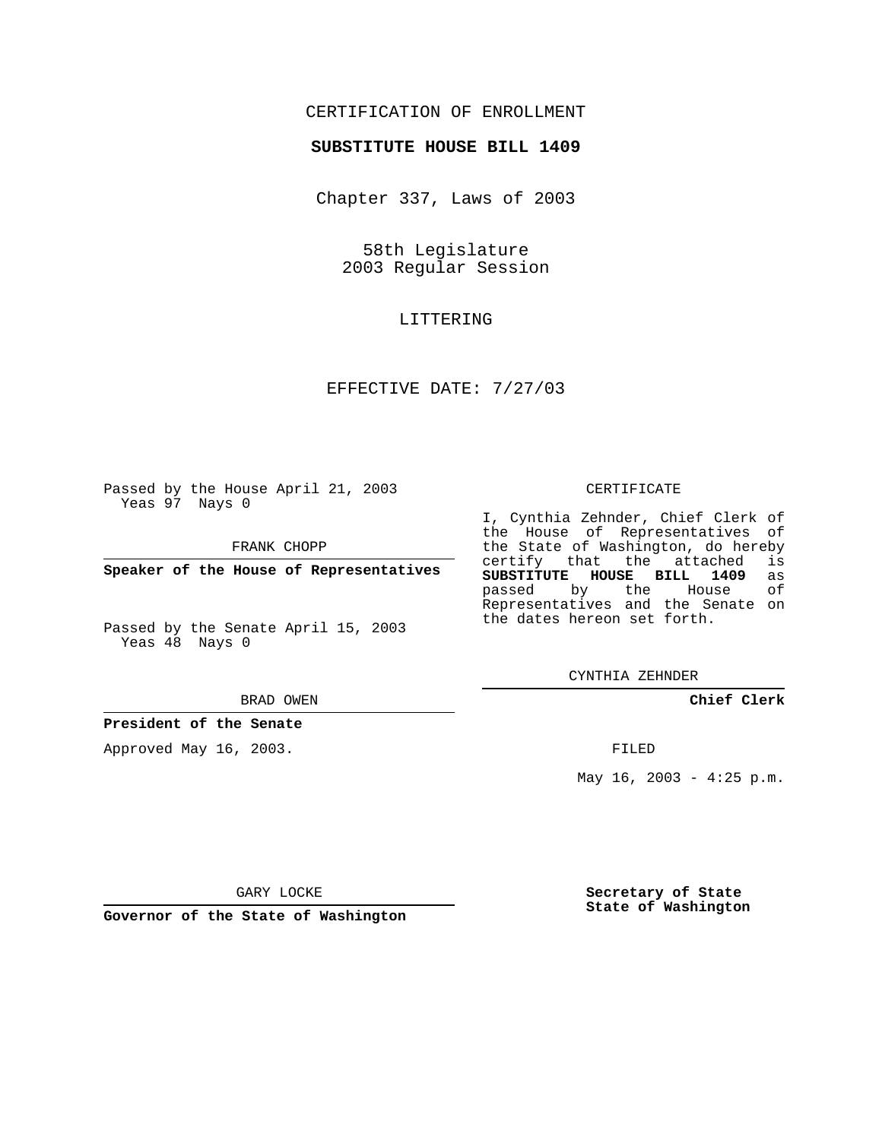## CERTIFICATION OF ENROLLMENT

#### **SUBSTITUTE HOUSE BILL 1409**

Chapter 337, Laws of 2003

58th Legislature 2003 Regular Session

### LITTERING

## EFFECTIVE DATE: 7/27/03

Passed by the House April 21, 2003 Yeas 97 Nays 0

FRANK CHOPP

**Speaker of the House of Representatives**

Passed by the Senate April 15, 2003 Yeas 48 Nays 0

#### BRAD OWEN

**President of the Senate**

Approved May 16, 2003.

#### CERTIFICATE

I, Cynthia Zehnder, Chief Clerk of the House of Representatives of the State of Washington, do hereby<br>certify that the attached is certify that the attached **SUBSTITUTE HOUSE BILL 1409** as passed by the Representatives and the Senate on the dates hereon set forth.

CYNTHIA ZEHNDER

**Chief Clerk**

FILED

May  $16$ ,  $2003 - 4:25$  p.m.

GARY LOCKE

**Governor of the State of Washington**

**Secretary of State State of Washington**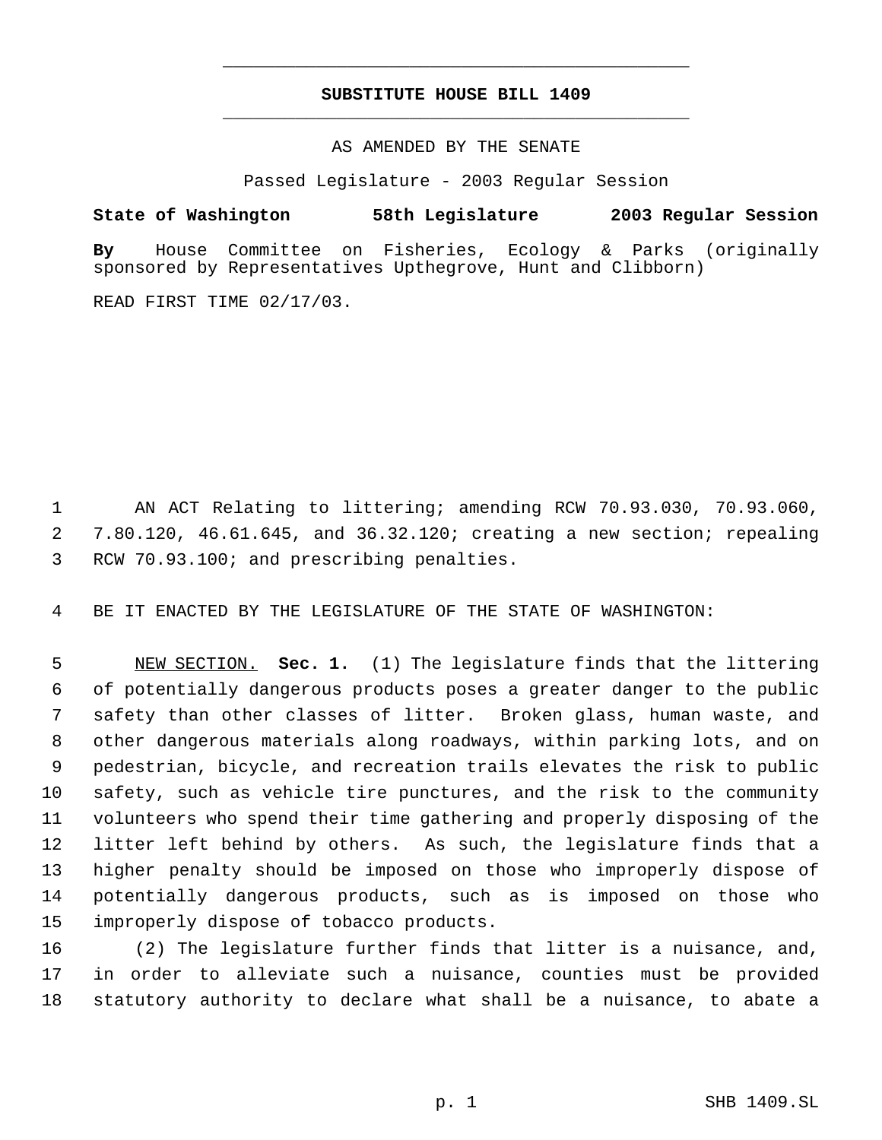# **SUBSTITUTE HOUSE BILL 1409** \_\_\_\_\_\_\_\_\_\_\_\_\_\_\_\_\_\_\_\_\_\_\_\_\_\_\_\_\_\_\_\_\_\_\_\_\_\_\_\_\_\_\_\_\_

\_\_\_\_\_\_\_\_\_\_\_\_\_\_\_\_\_\_\_\_\_\_\_\_\_\_\_\_\_\_\_\_\_\_\_\_\_\_\_\_\_\_\_\_\_

AS AMENDED BY THE SENATE

Passed Legislature - 2003 Regular Session

**State of Washington 58th Legislature 2003 Regular Session**

**By** House Committee on Fisheries, Ecology & Parks (originally sponsored by Representatives Upthegrove, Hunt and Clibborn)

READ FIRST TIME 02/17/03.

 AN ACT Relating to littering; amending RCW 70.93.030, 70.93.060, 7.80.120, 46.61.645, and 36.32.120; creating a new section; repealing RCW 70.93.100; and prescribing penalties.

BE IT ENACTED BY THE LEGISLATURE OF THE STATE OF WASHINGTON:

 NEW SECTION. **Sec. 1.** (1) The legislature finds that the littering of potentially dangerous products poses a greater danger to the public safety than other classes of litter. Broken glass, human waste, and other dangerous materials along roadways, within parking lots, and on pedestrian, bicycle, and recreation trails elevates the risk to public safety, such as vehicle tire punctures, and the risk to the community volunteers who spend their time gathering and properly disposing of the litter left behind by others. As such, the legislature finds that a higher penalty should be imposed on those who improperly dispose of potentially dangerous products, such as is imposed on those who improperly dispose of tobacco products.

 (2) The legislature further finds that litter is a nuisance, and, in order to alleviate such a nuisance, counties must be provided statutory authority to declare what shall be a nuisance, to abate a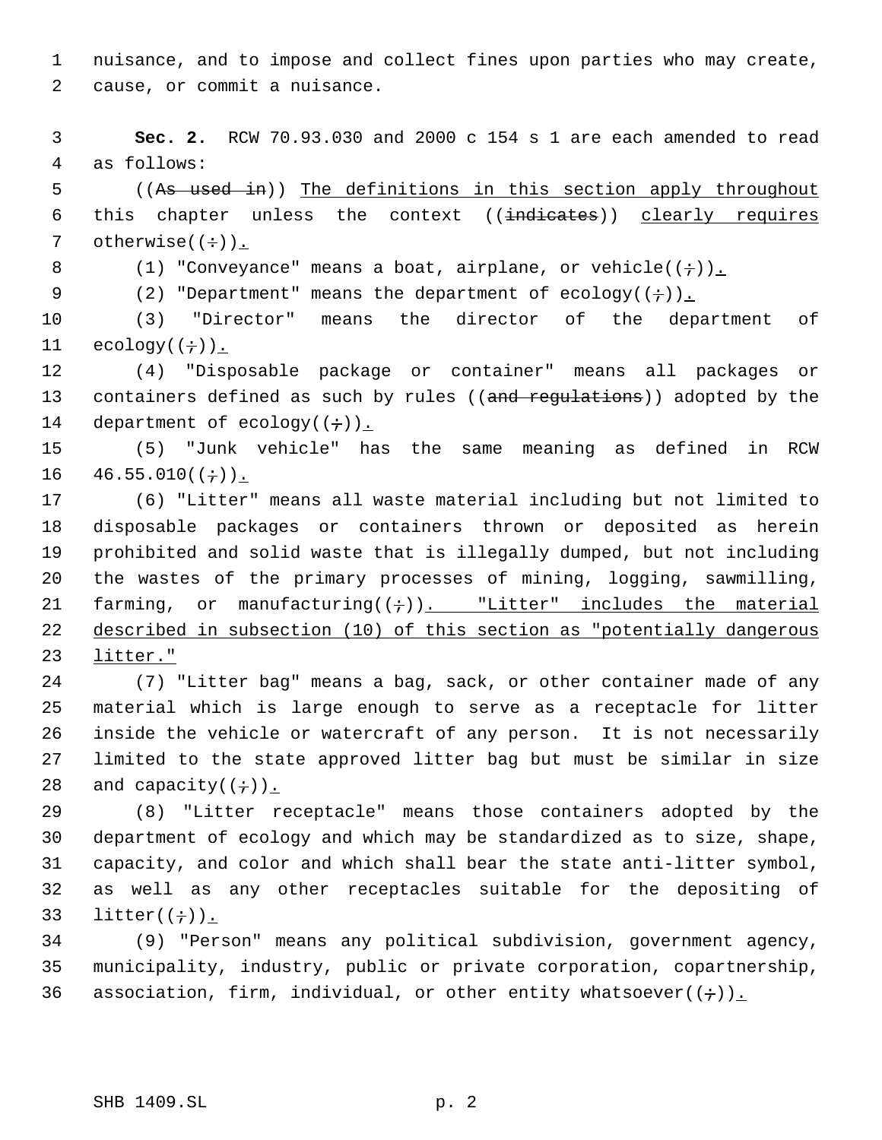nuisance, and to impose and collect fines upon parties who may create, cause, or commit a nuisance.

 **Sec. 2.** RCW 70.93.030 and 2000 c 154 s 1 are each amended to read as follows:

 ((As used in)) The definitions in this section apply throughout 6 this chapter unless the context ((indicates)) clearly requires 7 otherwise $((\div))$ .

8 (1) "Conveyance" means a boat, airplane, or vehicle( $(\div)$ ).

9 (2) "Department" means the department of ecology( $(+)$ ).

 (3) "Director" means the director of the department of 11  $ecology((\div))$ .

 (4) "Disposable package or container" means all packages or 13 containers defined as such by rules ((and requiations)) adopted by the 14 department of ecology $((\div))_{\perp}$ 

 (5) "Junk vehicle" has the same meaning as defined in RCW  $16 \quad 46.55.010((\div))$ .

 (6) "Litter" means all waste material including but not limited to disposable packages or containers thrown or deposited as herein prohibited and solid waste that is illegally dumped, but not including the wastes of the primary processes of mining, logging, sawmilling, 21 farming, or manufacturing( $(i)$ ). "Litter" includes the material described in subsection (10) of this section as "potentially dangerous litter."

 (7) "Litter bag" means a bag, sack, or other container made of any material which is large enough to serve as a receptacle for litter inside the vehicle or watercraft of any person. It is not necessarily limited to the state approved litter bag but must be similar in size 28 and capacity( $(+)$ ).

 (8) "Litter receptacle" means those containers adopted by the department of ecology and which may be standardized as to size, shape, capacity, and color and which shall bear the state anti-litter symbol, as well as any other receptacles suitable for the depositing of 33 litter( $(\div)$ ).

 (9) "Person" means any political subdivision, government agency, municipality, industry, public or private corporation, copartnership, 36 association, firm, individual, or other entity whatsoever( $(+)$ ).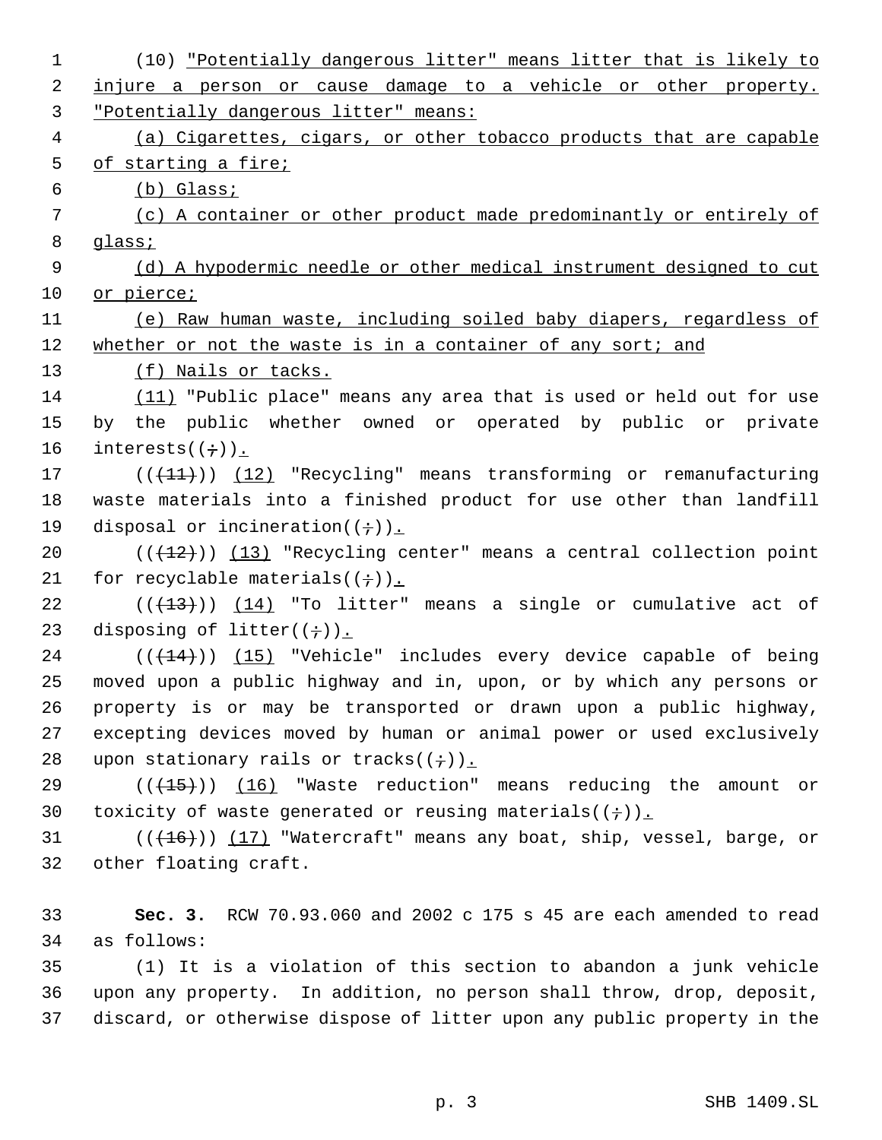| $\mathbf 1$    | (10) <u>"Potentially dangerous litter" means litter that is likely to</u> |
|----------------|---------------------------------------------------------------------------|
| 2              | injure a person or cause damage to a vehicle or other property.           |
| 3              | "Potentially dangerous litter" means:                                     |
| $\overline{4}$ | (a) Cigarettes, cigars, or other tobacco products that are capable        |
| 5              | of starting a fire;                                                       |
| 6              | (b) Glass:                                                                |
| 7              | (c) A container or other product made predominantly or entirely of        |
| 8              | glass;                                                                    |
| 9              | (d) A hypodermic needle or other medical instrument designed to cut       |
| 10             | or pierce;                                                                |
| 11             | (e) Raw human waste, including soiled baby diapers, regardless of         |
| 12             | whether or not the waste is in a container of any sort; and               |
| 13             | (f) Nails or tacks.                                                       |
| 14             | (11) "Public place" means any area that is used or held out for use       |
| 15             | by the public whether owned or operated by public or private              |
| 16             | $interests((\div))$ .                                                     |
| 17             | $((+11))$ $(12)$ "Recycling" means transforming or remanufacturing        |
| 18             | waste materials into a finished product for use other than landfill       |
| 19             | disposal or incineration( $(+)$ ).                                        |
| 20             | $((+12))$ $(13)$ "Recycling center" means a central collection point      |
| 21             | for recyclable materials( $(+)$ ).                                        |
| 22             | $((+13))$ $(14)$ "To litter" means a single or cumulative act of          |
| 23             | disposing of litter( $(+)$ ).                                             |
| 24             | $((+14))$ (15) "Vehicle" includes every device capable of being           |
| 25             | moved upon a public highway and in, upon, or by which any persons or      |
| 26             | property is or may be transported or drawn upon a public highway,         |
| 27             | excepting devices moved by human or animal power or used exclusively      |
| 28             | upon stationary rails or tracks( $(+)$ ).                                 |
| 29             | $((+15))$ (16) "Waste reduction" means reducing the amount or             |
| 30             | toxicity of waste generated or reusing materials( $(+)$ ).                |
| 31             | $((+16))$ (17) "Watercraft" means any boat, ship, vessel, barge, or       |
| 32             | other floating craft.                                                     |
|                |                                                                           |
| 33             | Sec. 3. RCW 70.93.060 and 2002 c 175 s 45 are each amended to read        |
| 34             | as follows:                                                               |
| 35             | (1) It is a violation of this section to abandon a junk vehicle           |
| 36             | upon any property. In addition, no person shall throw, drop, deposit,     |
| 37             | discard, or otherwise dispose of litter upon any public property in the   |
|                |                                                                           |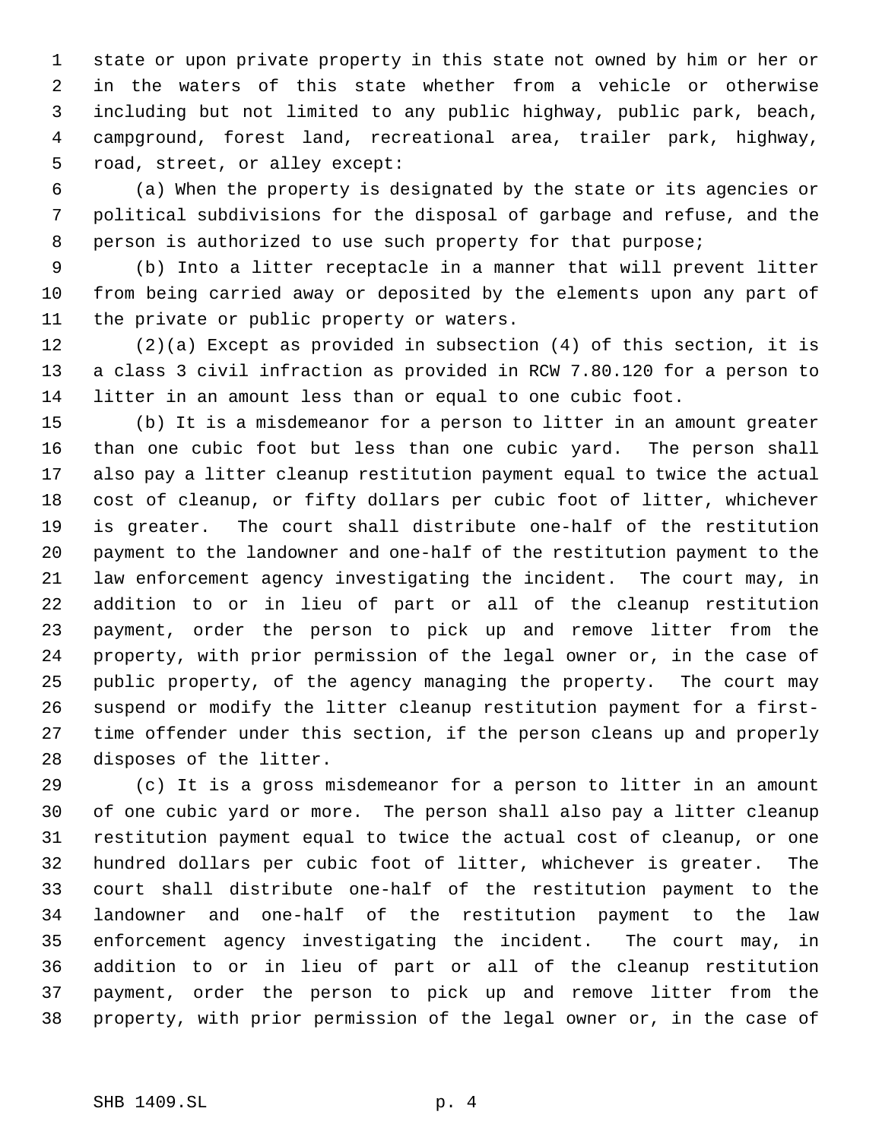state or upon private property in this state not owned by him or her or in the waters of this state whether from a vehicle or otherwise including but not limited to any public highway, public park, beach, campground, forest land, recreational area, trailer park, highway, road, street, or alley except:

 (a) When the property is designated by the state or its agencies or political subdivisions for the disposal of garbage and refuse, and the person is authorized to use such property for that purpose;

 (b) Into a litter receptacle in a manner that will prevent litter from being carried away or deposited by the elements upon any part of the private or public property or waters.

 (2)(a) Except as provided in subsection (4) of this section, it is a class 3 civil infraction as provided in RCW 7.80.120 for a person to litter in an amount less than or equal to one cubic foot.

 (b) It is a misdemeanor for a person to litter in an amount greater than one cubic foot but less than one cubic yard. The person shall also pay a litter cleanup restitution payment equal to twice the actual cost of cleanup, or fifty dollars per cubic foot of litter, whichever is greater. The court shall distribute one-half of the restitution payment to the landowner and one-half of the restitution payment to the law enforcement agency investigating the incident. The court may, in addition to or in lieu of part or all of the cleanup restitution payment, order the person to pick up and remove litter from the property, with prior permission of the legal owner or, in the case of public property, of the agency managing the property. The court may suspend or modify the litter cleanup restitution payment for a first- time offender under this section, if the person cleans up and properly disposes of the litter.

 (c) It is a gross misdemeanor for a person to litter in an amount of one cubic yard or more. The person shall also pay a litter cleanup restitution payment equal to twice the actual cost of cleanup, or one hundred dollars per cubic foot of litter, whichever is greater. The court shall distribute one-half of the restitution payment to the landowner and one-half of the restitution payment to the law enforcement agency investigating the incident. The court may, in addition to or in lieu of part or all of the cleanup restitution payment, order the person to pick up and remove litter from the property, with prior permission of the legal owner or, in the case of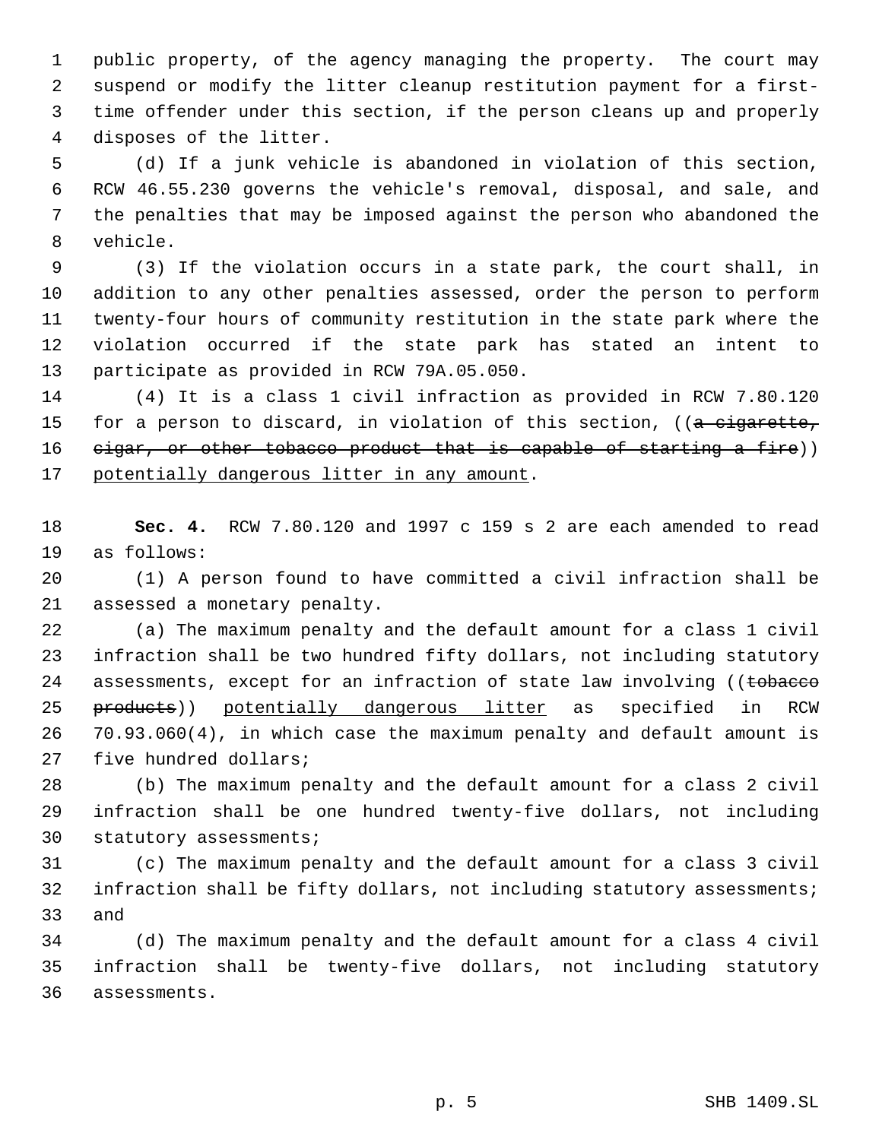public property, of the agency managing the property. The court may suspend or modify the litter cleanup restitution payment for a first- time offender under this section, if the person cleans up and properly disposes of the litter.

 (d) If a junk vehicle is abandoned in violation of this section, RCW 46.55.230 governs the vehicle's removal, disposal, and sale, and the penalties that may be imposed against the person who abandoned the vehicle.

 (3) If the violation occurs in a state park, the court shall, in addition to any other penalties assessed, order the person to perform twenty-four hours of community restitution in the state park where the violation occurred if the state park has stated an intent to participate as provided in RCW 79A.05.050.

 (4) It is a class 1 civil infraction as provided in RCW 7.80.120 15 for a person to discard, in violation of this section,  $((a - c)^2)(a - b)$ 16 cigar, or other tobacco product that is capable of starting a fire)) 17 potentially dangerous litter in any amount.

 **Sec. 4.** RCW 7.80.120 and 1997 c 159 s 2 are each amended to read as follows:

 (1) A person found to have committed a civil infraction shall be assessed a monetary penalty.

 (a) The maximum penalty and the default amount for a class 1 civil infraction shall be two hundred fifty dollars, not including statutory 24 assessments, except for an infraction of state law involving ((tobacco 25 products)) potentially dangerous litter as specified in RCW 70.93.060(4), in which case the maximum penalty and default amount is five hundred dollars;

 (b) The maximum penalty and the default amount for a class 2 civil infraction shall be one hundred twenty-five dollars, not including statutory assessments;

 (c) The maximum penalty and the default amount for a class 3 civil infraction shall be fifty dollars, not including statutory assessments; and

 (d) The maximum penalty and the default amount for a class 4 civil infraction shall be twenty-five dollars, not including statutory assessments.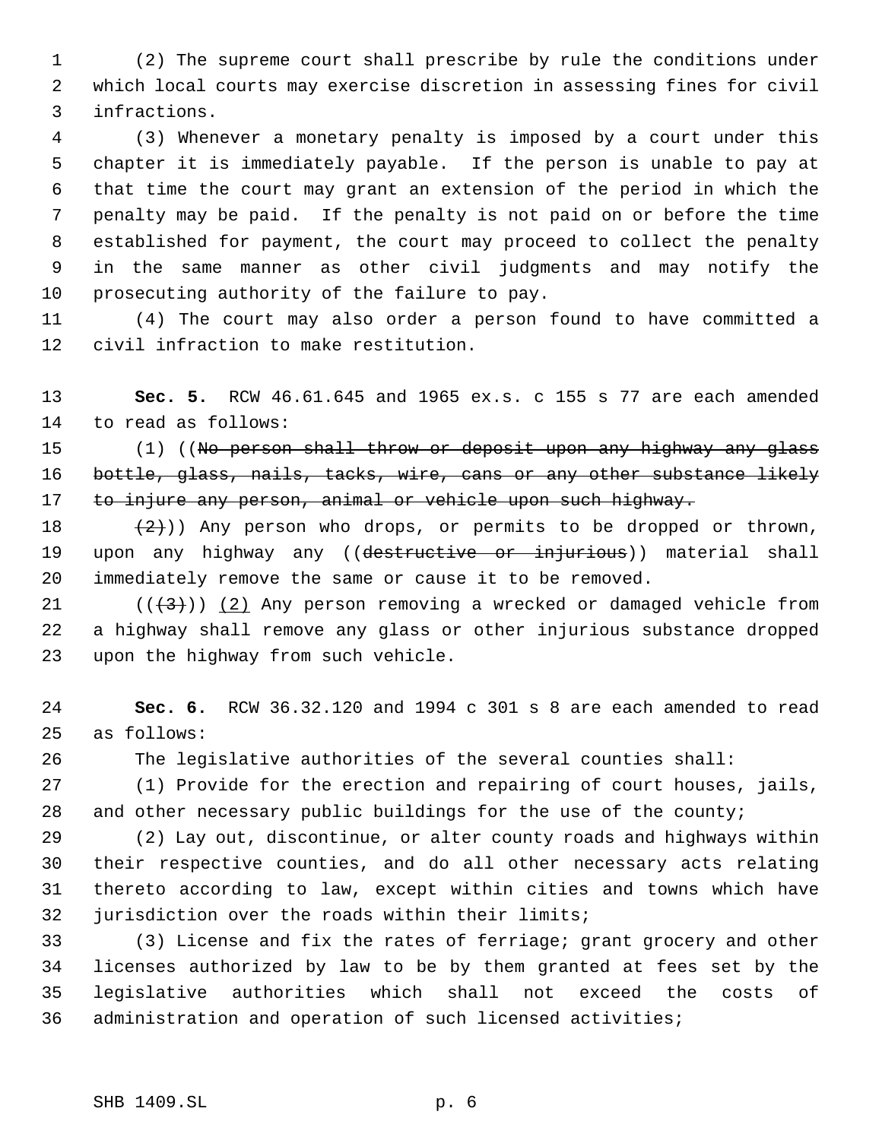(2) The supreme court shall prescribe by rule the conditions under which local courts may exercise discretion in assessing fines for civil infractions.

 (3) Whenever a monetary penalty is imposed by a court under this chapter it is immediately payable. If the person is unable to pay at that time the court may grant an extension of the period in which the penalty may be paid. If the penalty is not paid on or before the time established for payment, the court may proceed to collect the penalty in the same manner as other civil judgments and may notify the prosecuting authority of the failure to pay.

 (4) The court may also order a person found to have committed a civil infraction to make restitution.

 **Sec. 5.** RCW 46.61.645 and 1965 ex.s. c 155 s 77 are each amended to read as follows:

15 (1) ((No person shall throw or deposit upon any highway any glass 16 bottle, glass, nails, tacks, wire, cans or any other substance likely 17 to injure any person, animal or vehicle upon such highway.

18  $(2)$ )) Any person who drops, or permits to be dropped or thrown, 19 upon any highway any ((destructive or injurious)) material shall immediately remove the same or cause it to be removed.

21 ( $(\langle 3 \rangle)$  (2) Any person removing a wrecked or damaged vehicle from a highway shall remove any glass or other injurious substance dropped upon the highway from such vehicle.

 **Sec. 6.** RCW 36.32.120 and 1994 c 301 s 8 are each amended to read as follows:

The legislative authorities of the several counties shall:

 (1) Provide for the erection and repairing of court houses, jails, 28 and other necessary public buildings for the use of the county;

 (2) Lay out, discontinue, or alter county roads and highways within their respective counties, and do all other necessary acts relating thereto according to law, except within cities and towns which have jurisdiction over the roads within their limits;

 (3) License and fix the rates of ferriage; grant grocery and other licenses authorized by law to be by them granted at fees set by the legislative authorities which shall not exceed the costs of administration and operation of such licensed activities;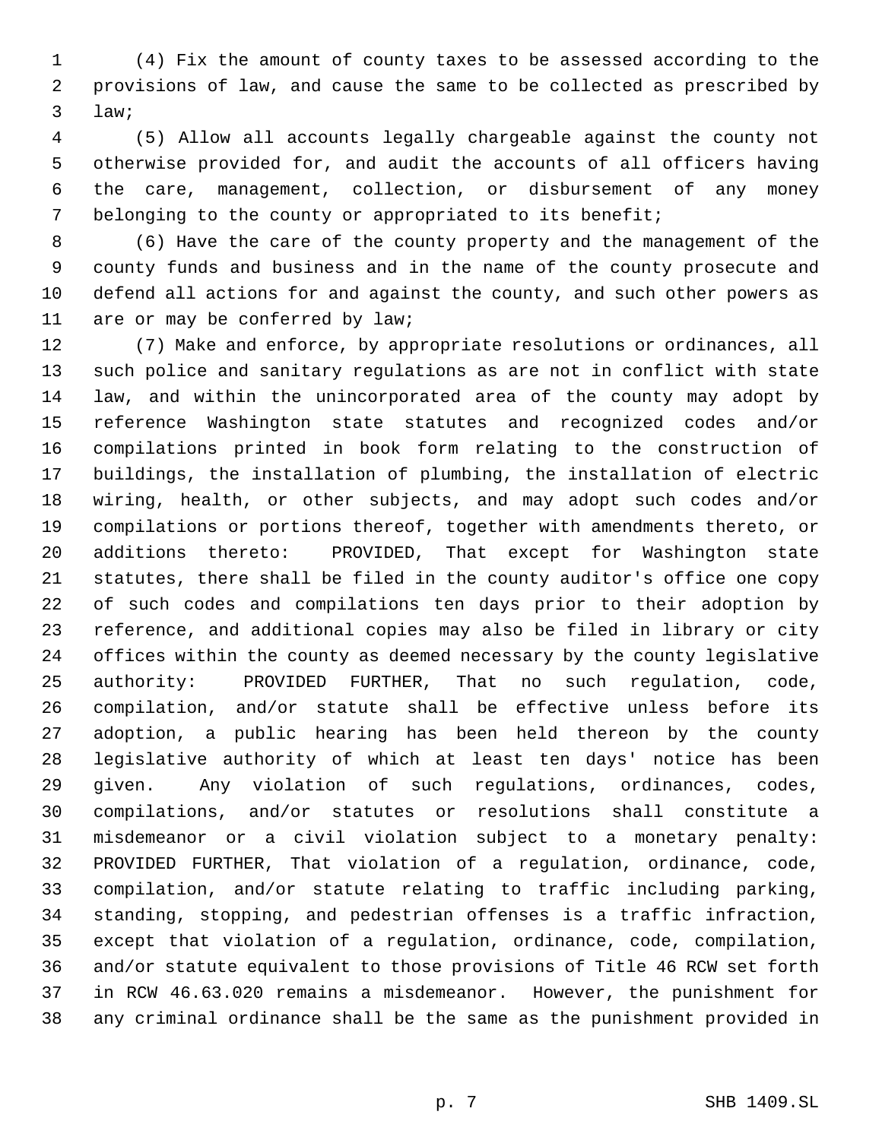(4) Fix the amount of county taxes to be assessed according to the provisions of law, and cause the same to be collected as prescribed by law;

 (5) Allow all accounts legally chargeable against the county not otherwise provided for, and audit the accounts of all officers having the care, management, collection, or disbursement of any money belonging to the county or appropriated to its benefit;

 (6) Have the care of the county property and the management of the county funds and business and in the name of the county prosecute and defend all actions for and against the county, and such other powers as are or may be conferred by law;

 (7) Make and enforce, by appropriate resolutions or ordinances, all such police and sanitary regulations as are not in conflict with state law, and within the unincorporated area of the county may adopt by reference Washington state statutes and recognized codes and/or compilations printed in book form relating to the construction of buildings, the installation of plumbing, the installation of electric wiring, health, or other subjects, and may adopt such codes and/or compilations or portions thereof, together with amendments thereto, or additions thereto: PROVIDED, That except for Washington state statutes, there shall be filed in the county auditor's office one copy of such codes and compilations ten days prior to their adoption by reference, and additional copies may also be filed in library or city offices within the county as deemed necessary by the county legislative authority: PROVIDED FURTHER, That no such regulation, code, compilation, and/or statute shall be effective unless before its adoption, a public hearing has been held thereon by the county legislative authority of which at least ten days' notice has been given. Any violation of such regulations, ordinances, codes, compilations, and/or statutes or resolutions shall constitute a misdemeanor or a civil violation subject to a monetary penalty: PROVIDED FURTHER, That violation of a regulation, ordinance, code, compilation, and/or statute relating to traffic including parking, standing, stopping, and pedestrian offenses is a traffic infraction, except that violation of a regulation, ordinance, code, compilation, and/or statute equivalent to those provisions of Title 46 RCW set forth in RCW 46.63.020 remains a misdemeanor. However, the punishment for any criminal ordinance shall be the same as the punishment provided in